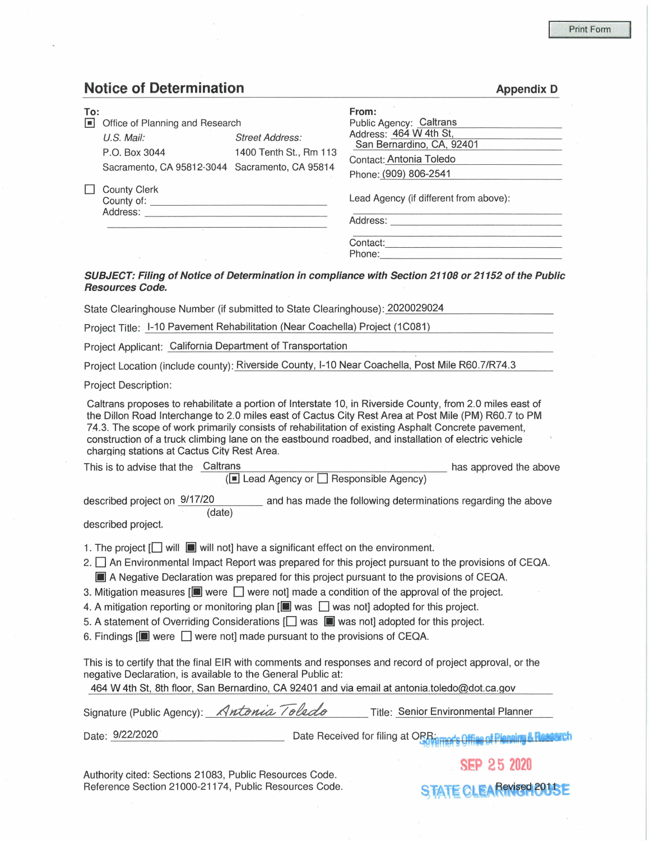**Appendix D** 

## **Notice of Determination**

| To:<br>$\blacksquare$ | Office of Planning and Research<br><b>Street Address:</b><br>$U.S.$ Mail:<br>1400 Tenth St., Rm 113<br>P.O. Box 3044<br>Sacramento, CA 95812-3044 Sacramento, CA 95814 |  | From:<br>Public Agency: Caltrans<br>Address: 464 W 4th St,<br>San Bernardino, CA, 92401<br>Contact: Antonia Toledo<br>Phone: (909) 806-2541 |  |  |  |  |
|-----------------------|------------------------------------------------------------------------------------------------------------------------------------------------------------------------|--|---------------------------------------------------------------------------------------------------------------------------------------------|--|--|--|--|
|                       | <b>County Clerk</b><br>Address:                                                                                                                                        |  | Lead Agency (if different from above):<br>Address:                                                                                          |  |  |  |  |
|                       |                                                                                                                                                                        |  | Contact:<br>Phone:<br>SUBJECT: Filing of Notice of Determination in compliance with Section 21108 or 21152 of the Public                    |  |  |  |  |
|                       | <b>Resources Code.</b>                                                                                                                                                 |  |                                                                                                                                             |  |  |  |  |

State Clearinghouse Number (if submitted to State Clearinghouse): 2020029024

Project Title: 1-10 Pavement Rehabilitation (Near Coachella) Project (1C081)

Project Applicant: California Department of Transportation

Project Location (include county): Riverside County, 1-10 Near Coachella, Post Mile R60.7/R74.3

Project Description:

Caltrans proposes to rehabilitate a portion of Interstate 10, in Riverside County, from 2.0 miles east of the Dillon Road Interchange to 2.0 miles east of Cactus City Rest Area at Post Mile (PM) R60.7 to PM 74.3. The scope of work primarily consists of rehabilitation of existing Asphalt Concrete pavement, construction of a truck climbing lane on the eastbound roadbed, and installation of electric vehicle charqinq stations at Cactus City Rest Area.

This is to advise that the Caltrans has approved the above has approved the above  $(\blacksquare$  Lead Agency or  $\square$  Responsible Agency)

described project on  $\frac{9/17/20}{2}$  and has made the following determinations regarding the above (date)

described project.

- 1. The project  $\Box$  will  $\Box$  will not] have a significant effect on the environment.
- 2. An Environmental Impact Report was prepared for this project pursuant to the provisions of CEQA. **III** A Negative Declaration was prepared for this project pursuant to the provisions of CEQA.
- 3. Mitigation measures  $[\blacksquare]$  were  $\Box$  were not made a condition of the approval of the project.
- 4. A mitigation reporting or monitoring plan  $\left[\blacksquare\right]$  was  $\Box$  was not] adopted for this project.
- 5. A statement of Overriding Considerations  $[\square]$  was  $[\square]$  was not] adopted for this project.
- 6. Findings  $[\blacksquare]$  were  $\Box$  were not] made pursuant to the provisions of CEQA.

This is to certify that the final EIR with comments and responses and record of project approval, or the negative Declaration, is available to the General Public at:

464 W 4th St, 8th floor, San Bernardino, CA 92401 and via email at antonia.toledo@dot.ca.gov

|                   | Signature (Public Agency): Antonia Toledo | Title: Senior Environmental Planner |
|-------------------|-------------------------------------------|-------------------------------------|
| $A$ is a is a a a |                                           |                                     |

Date: 9/22/2020 Date Received for filing at ORR: example of Planning &

Authority cited: Sections 21083, Public Resources Code. Reference Section 21000-21174, Public Resources Code. **49 STATE CLEA Revised 2011** 

SB> 25 **2020**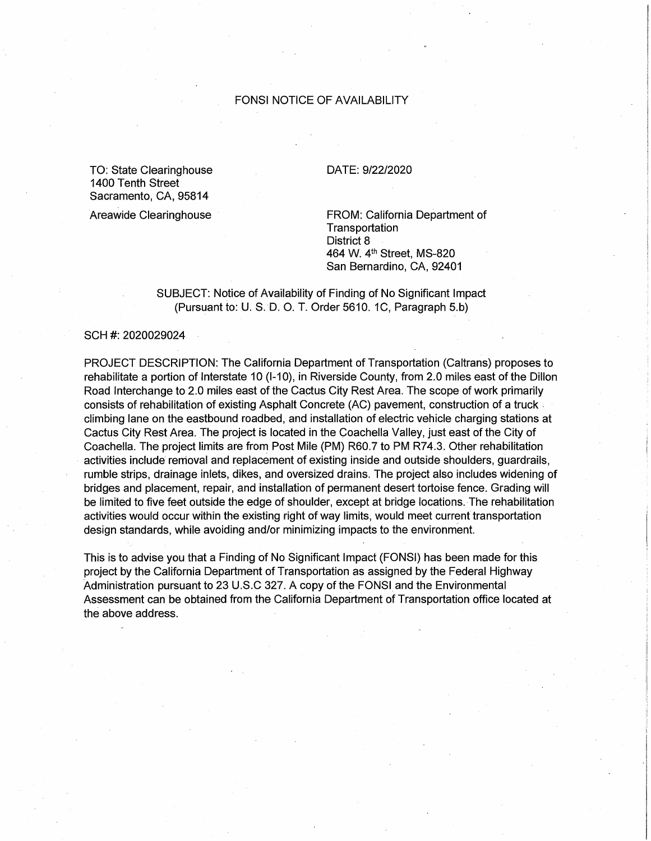## FONSI NOTICE OF AVAILABILITY

TO: State Clearinghouse 1400 Tenth Street Sacramento, CA, 95814

Areawide Clearinghouse

## DATE: 9/22/2020

FROM: California Department of **Transportation** District 8 464 W. 4th Street, MS-820 San Bernardino, CA, 92401

SUBJECT: Notice of Availability of Finding of No Significant Impact (Pursuant to: U. S. D. O. T. Order 5610. 1C, Paragraph 5.b)

SCH #: 2020029024

PROJECT DESCRIPTION: The California Department of Transportation (Caltrans) proposes to rehabilitate a portion of Interstate 10 (1-10), in Riverside County, from 2.0 miles east of the Dillon Road Interchange to 2.0 miles east of the Cactus City Rest Area. The scope of work primarily consists of rehabilitation of existing Asphalt Concrete (AC) pavement, construction of a truck climbing lane on the eastbound roadbed, and installation of electric vehicle charging stations at Cactus City Rest Area. The project is located in the Coachella Valley, just east of the City of Coachella. The project limits are from Post Mile (PM) R60.7 to PM R74.3. Other rehabilitation activities include removal and replacement of existing inside and outside shoulders, guardrails, rumble strips, drainage inlets, dikes, and oversized drains. The project also includes widening of bridges and placement, repair, and installation of permanent desert tortoise fence. Grading will be limited to five feet outside the edge of shoulder, except at bridge locations. The rehabilitation activities would occur within the existing right of way limits, would meet current transportation design standards, while avoiding and/or minimizing impacts to the environment.

This is to advise you that a Finding of No Significant Impact (FONSI) has been made for this project by the California Department of Transportation as assigned by the Federal Highway Administration pursuant to 23 U.S.C 327. A copy of the FONSI. and the Environmental Assessment can be obtained from the California Department of Transportation office located at the above address.